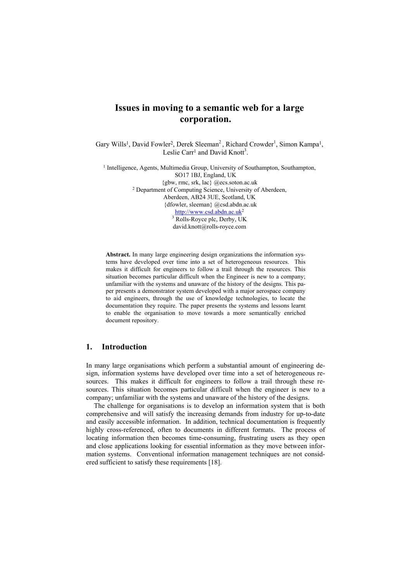# **Issues in moving to a semantic web for a large corporation.**

Gary Wills<sup>1</sup>, David Fowler<sup>2</sup>, Derek Sleeman<sup>2</sup>, Richard Crowder<sup>1</sup>, Simon Kampa<sup>1</sup>, Leslie Carr<sup>1</sup> and David Knott<sup>3</sup>.

<sup>1</sup> Intelligence, Agents, Multimedia Group, University of Southampton, Southampton, SO17 1BJ, England, UK {gbw, rmc, srk, lac} @ecs.soton.ac.uk 2 Department of Computing Science, University of Aberdeen, Aberdeen, AB24 3UE, Scotland, UK {dfowler, sleeman} @csd.abdn.ac.uk [http://www.csd.abdn.ac.uk](http://www.csd.abdn.ac.uk/)<sup>2</sup> <sup>3</sup> Rolls-Royce plc, Derby, UK david.knott@rolls-royce.com

**Abstract.** In many large engineering design organizations the information systems have developed over time into a set of heterogeneous resources. This makes it difficult for engineers to follow a trail through the resources. This situation becomes particular difficult when the Engineer is new to a company; unfamiliar with the systems and unaware of the history of the designs. This paper presents a demonstrator system developed with a major aerospace company to aid engineers, through the use of knowledge technologies, to locate the documentation they require. The paper presents the systems and lessons learnt to enable the organisation to move towards a more semantically enriched document repository.

### **1. Introduction**

In many large organisations which perform a substantial amount of engineering design, information systems have developed over time into a set of heterogeneous resources. This makes it difficult for engineers to follow a trail through these resources. This situation becomes particular difficult when the engineer is new to a company; unfamiliar with the systems and unaware of the history of the designs.

The challenge for organisations is to develop an information system that is both comprehensive and will satisfy the increasing demands from industry for up-to-date and easily accessible information. In addition, technical documentation is frequently highly cross-referenced, often to documents in different formats. The process of locating information then becomes time-consuming, frustrating users as they open and close applications looking for essential information as they move between information systems. Conventional information management techniques are not considered sufficient to satisfy these requirements [\[18\].](#page-11-0)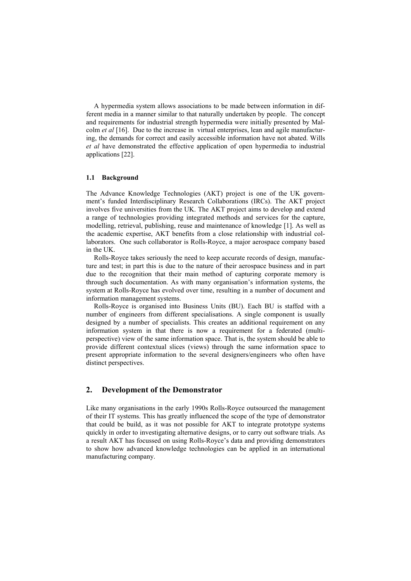A hypermedia system allows associations to be made between information in different media in a manner similar to that naturally undertaken by people. The concept and requirements for industrial strength hypermedia were initially presented by Malcolm *et al* [\[16\].](#page-11-1) Due to the increase in virtual enterprises, lean and agile manufacturing, the demands for correct and easily accessible information have not abated. Wills *et al* have demonstrated the effective application of open hypermedia to industrial applications [\[22\].](#page-11-2)

#### **1.1 Background**

The Advance Knowledge Technologies (AKT) project is one of the UK government's funded Interdisciplinary Research Collaborations (IRCs). The AKT project involves five universities from the UK. The AKT project aims to develop and extend a range of technologies providing integrated methods and services for the capture, modelling, retrieval, publishing, reuse and maintenance of knowledge [\[1\].](#page-10-0) As well as the academic expertise, AKT benefits from a close relationship with industrial collaborators. One such collaborator is Rolls-Royce, a major aerospace company based in the UK.

Rolls-Royce takes seriously the need to keep accurate records of design, manufacture and test; in part this is due to the nature of their aerospace business and in part due to the recognition that their main method of capturing corporate memory is through such documentation. As with many organisation's information systems, the system at Rolls-Royce has evolved over time, resulting in a number of document and information management systems.

Rolls-Royce is organised into Business Units (BU). Each BU is staffed with a number of engineers from different specialisations. A single component is usually designed by a number of specialists. This creates an additional requirement on any information system in that there is now a requirement for a federated (multiperspective) view of the same information space. That is, the system should be able to provide different contextual slices (views) through the same information space to present appropriate information to the several designers/engineers who often have distinct perspectives.

### **2. Development of the Demonstrator**

Like many organisations in the early 1990s Rolls-Royce outsourced the management of their IT systems. This has greatly influenced the scope of the type of demonstrator that could be build, as it was not possible for AKT to integrate prototype systems quickly in order to investigating alternative designs, or to carry out software trials. As a result AKT has focussed on using Rolls-Royce's data and providing demonstrators to show how advanced knowledge technologies can be applied in an international manufacturing company.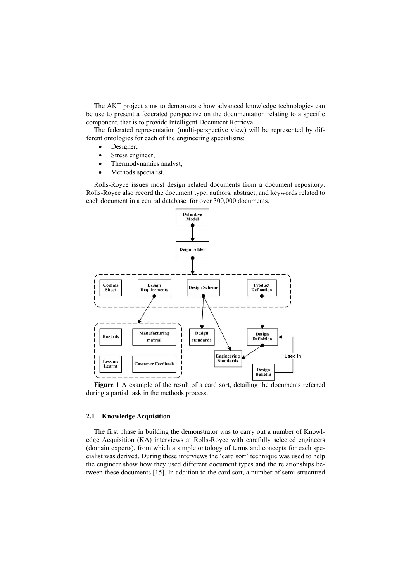The AKT project aims to demonstrate how advanced knowledge technologies can be use to present a federated perspective on the documentation relating to a specific component, that is to provide Intelligent Document Retrieval.

The federated representation (multi-perspective view) will be represented by different ontologies for each of the engineering specialisms:

- Designer,
- Stress engineer,
- Thermodynamics analyst,
- Methods specialist.

Rolls-Royce issues most design related documents from a document repository. Rolls-Royce also record the document type, authors, abstract, and keywords related to each document in a central database, for over 300,000 documents.

<span id="page-2-0"></span>

**Figure 1** A example of the result of a card sort, detailing the documents referred during a partial task in the methods process.

#### **2.1 Knowledge Acquisition**

The first phase in building the demonstrator was to carry out a number of Knowledge Acquisition (KA) interviews at Rolls-Royce with carefully selected engineers (domain experts), from which a simple ontology of terms and concepts for each specialist was derived. During these interviews the 'card sort' technique was used to help the engineer show how they used different document types and the relationships between these documents [\[15\].](#page-11-3) In addition to the card sort, a number of semi-structured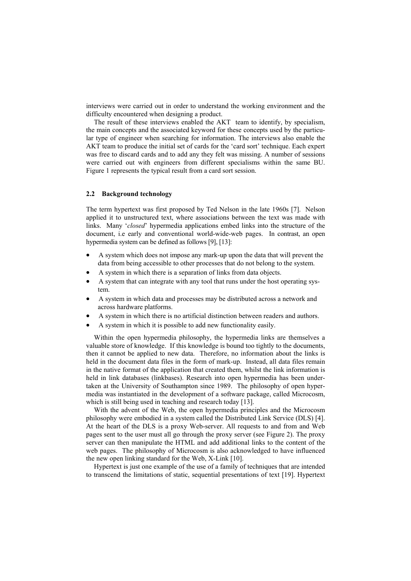interviews were carried out in order to understand the working environment and the difficulty encountered when designing a product.

The result of these interviews enabled the AKT team to identify, by specialism, the main concepts and the associated keyword for these concepts used by the particular type of engineer when searching for information. The interviews also enable the AKT team to produce the initial set of cards for the 'card sort' technique. Each expert was free to discard cards and to add any they felt was missing. A number of sessions were carried out with engineers from different specialisms within the same BU. [Figure 1](#page-2-0) represents the typical result from a card sort session.

### **2.2 Background technology**

The term hypertext was first proposed by Ted Nelson in the late 1960s [\[7\].](#page-11-4) Nelson applied it to unstructured text, where associations between the text was made with links. Many '*closed*' hypermedia applications embed links into the structure of the document, i.e early and conventional world-wide-web pages. In contrast, an open hypermedia system can be defined as follows [\[9\],](#page-11-5) [\[13\]:](#page-11-6)

- A system which does not impose any mark-up upon the data that will prevent the data from being accessible to other processes that do not belong to the system.
- A system in which there is a separation of links from data objects.
- A system that can integrate with any tool that runs under the host operating system.
- A system in which data and processes may be distributed across a network and across hardware platforms.
- A system in which there is no artificial distinction between readers and authors.
- A system in which it is possible to add new functionality easily.

Within the open hypermedia philosophy, the hypermedia links are themselves a valuable store of knowledge. If this knowledge is bound too tightly to the documents, then it cannot be applied to new data. Therefore, no information about the links is held in the document data files in the form of mark-up. Instead, all data files remain in the native format of the application that created them, whilst the link information is held in link databases (linkbases). Research into open hypermedia has been undertaken at the University of Southampton since 1989. The philosophy of open hypermedia was instantiated in the development of a software package, called Microcosm, which is still being used in teaching and research today [\[13\].](#page-11-6)

With the advent of the Web, the open hypermedia principles and the Microcosm philosophy were embodied in a system called the Distributed Link Service (DLS) [\[4\].](#page-11-7) At the heart of the DLS is a proxy Web-server. All requests to and from and Web pages sent to the user must all go through the proxy server (see [Figure 2\)](#page-4-0). The proxy server can then manipulate the HTML and add additional links to the content of the web pages. The philosophy of Microcosm is also acknowledged to have influenced the new open linking standard for the Web, X-Link [\[10\].](#page-11-8)

Hypertext is just one example of the use of a family of techniques that are intended to transcend the limitations of static, sequential presentations of text [\[19\].](#page-11-9) Hypertext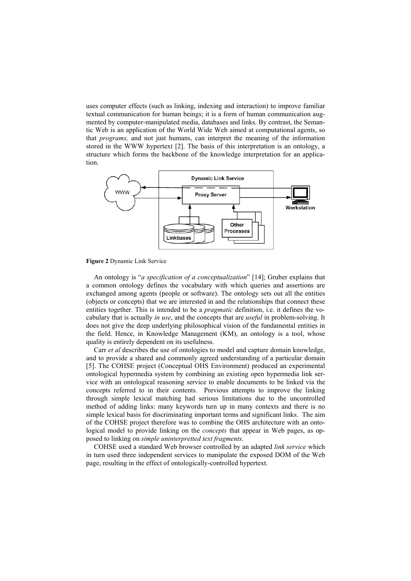uses computer effects (such as linking, indexing and interaction) to improve familiar textual communication for human beings; it is a form of human communication augmented by computer-manipulated media, databases and links. By contrast, the Semantic Web is an application of the World Wide Web aimed at computational agents, so that *programs,* and not just humans, can interpret the meaning of the information stored in the WWW hypertext [\[2\].](#page-10-1) The basis of this interpretation is an ontology, a structure which forms the backbone of the knowledge interpretation for an application.

<span id="page-4-0"></span>

#### **Figure 2** Dynamic Link Service

An ontology is "*a specification of a conceptualization*" [\[14\];](#page-11-10) Gruber explains that a common ontology defines the vocabulary with which queries and assertions are exchanged among agents (people or software). The ontology sets out all the entities (objects or concepts) that we are interested in and the relationships that connect these entities together. This is intended to be a *pragmatic* definition, i.e. it defines the vocabulary that is actually *in use*, and the concepts that are *useful* in problem-solving. It does not give the deep underlying philosophical vision of the fundamental entities in the field. Hence, in Knowledge Management (KM), an ontology is a tool, whose quality is entirely dependent on its usefulness.

Carr *et al* describes the use of ontologies to model and capture domain knowledge, and to provide a shared and commonly agreed understanding of a particular domain [\[5\].](#page-11-11) The COHSE project (Conceptual OHS Environment) produced an experimental ontological hypermedia system by combining an existing open hypermedia link service with an ontological reasoning service to enable documents to be linked via the concepts referred to in their contents. Previous attempts to improve the linking through simple lexical matching had serious limitations due to the uncontrolled method of adding links: many keywords turn up in many contexts and there is no simple lexical basis for discriminating important terms and significant links. The aim of the COHSE project therefore was to combine the OHS architecture with an ontological model to provide linking on the *concepts* that appear in Web pages, as opposed to linking on *simple uninterpretted text fragments*.

COHSE used a standard Web browser controlled by an adapted *link service* which in turn used three independent services to manipulate the exposed DOM of the Web page, resulting in the effect of ontologically-controlled hypertext.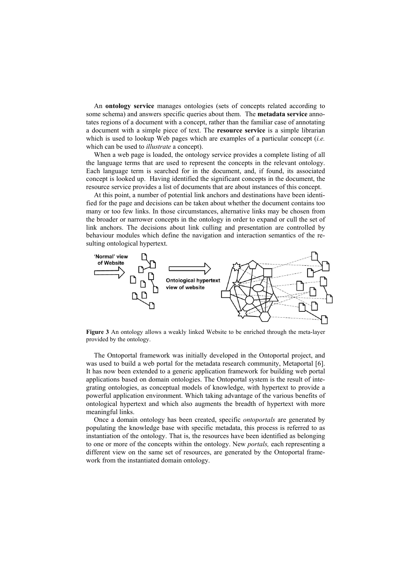An **ontology service** manages ontologies (sets of concepts related according to some schema) and answers specific queries about them. The **metadata service** annotates regions of a document with a concept, rather than the familiar case of annotating a document with a simple piece of text. The **resource service** is a simple librarian which is used to lookup Web pages which are examples of a particular concept (*i.e.* which can be used to *illustrate* a concept).

When a web page is loaded, the ontology service provides a complete listing of all the language terms that are used to represent the concepts in the relevant ontology. Each language term is searched for in the document, and, if found, its associated concept is looked up. Having identified the significant concepts in the document, the resource service provides a list of documents that are about instances of this concept.

At this point, a number of potential link anchors and destinations have been identified for the page and decisions can be taken about whether the document contains too many or too few links. In those circumstances, alternative links may be chosen from the broader or narrower concepts in the ontology in order to expand or cull the set of link anchors. The decisions about link culling and presentation are controlled by behaviour modules which define the navigation and interaction semantics of the resulting ontological hypertext.

<span id="page-5-0"></span>

**Figure 3** An ontology allows a weakly linked Website to be enriched through the meta-layer provided by the ontology.

The Ontoportal framework was initially developed in the Ontoportal project, and was used to build a web portal for the metadata research community, Metaportal [\[6\].](#page-11-12) It has now been extended to a generic application framework for building web portal applications based on domain ontologies. The Ontoportal system is the result of integrating ontologies, as conceptual models of knowledge, with hypertext to provide a powerful application environment. Which taking advantage of the various benefits of ontological hypertext and which also augments the breadth of hypertext with more meaningful links.

Once a domain ontology has been created, specific *ontoportals* are generated by populating the knowledge base with specific metadata, this process is referred to as instantiation of the ontology. That is, the resources have been identified as belonging to one or more of the concepts within the ontology. New *portals,* each representing a different view on the same set of resources, are generated by the Ontoportal framework from the instantiated domain ontology.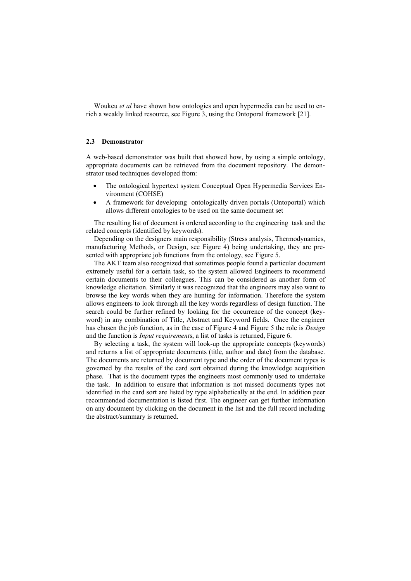Woukeu *et al* have shown how ontologies and open hypermedia can be used to enrich a weakly linked resource, see [Figure 3,](#page-5-0) using the Ontoporal framework [\[21\].](#page-11-13)

#### **2.3 Demonstrator**

A web-based demonstrator was built that showed how, by using a simple ontology, appropriate documents can be retrieved from the document repository. The demonstrator used techniques developed from:

- The ontological hypertext system Conceptual Open Hypermedia Services Environment (COHSE)
- A framework for developing ontologically driven portals (Ontoportal) which allows different ontologies to be used on the same document set

The resulting list of document is ordered according to the engineering task and the related concepts (identified by keywords).

Depending on the designers main responsibility (Stress analysis, Thermodynamics, manufacturing Methods, or Design, see [Figure 4\)](#page-7-0) being undertaking, they are presented with appropriate job functions from the ontology, see [Figure 5.](#page-7-1)

The AKT team also recognized that sometimes people found a particular document extremely useful for a certain task, so the system allowed Engineers to recommend certain documents to their colleagues. This can be considered as another form of knowledge elicitation. Similarly it was recognized that the engineers may also want to browse the key words when they are hunting for information. Therefore the system allows engineers to look through all the key words regardless of design function. The search could be further refined by looking for the occurrence of the concept (keyword) in any combination of Title, Abstract and Keyword fields. Once the engineer has chosen the job function, as in the case of [Figure 4](#page-7-0) and [Figure 5](#page-7-1) the role is *Design* and the function is *Input requirement*s, a list of tasks is returned, [Figure 6.](#page-8-0)

By selecting a task, the system will look-up the appropriate concepts (keywords) and returns a list of appropriate documents (title, author and date) from the database. The documents are returned by document type and the order of the document types is governed by the results of the card sort obtained during the knowledge acquisition phase. That is the document types the engineers most commonly used to undertake the task. In addition to ensure that information is not missed documents types not identified in the card sort are listed by type alphabetically at the end. In addition peer recommended documentation is listed first. The engineer can get further information on any document by clicking on the document in the list and the full record including the abstract/summary is returned.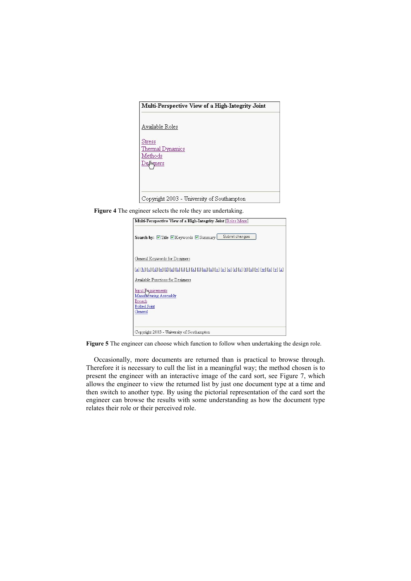<span id="page-7-0"></span>

| Multi-Perspective View of a High-Integrity Joint           |  |
|------------------------------------------------------------|--|
| Available Roles                                            |  |
| <b>Stress</b><br>Thermal Dynamics<br>Methods<br>Deflixners |  |
| Copyright 2003 - University of Southampton                 |  |

<span id="page-7-1"></span>**Figure 4** The engineer selects the role they are undertaking.

| <b>Multi-Perspective View of a High-Integrity Joint</b> [Roles Menu]          |                                                                                                         |
|-------------------------------------------------------------------------------|---------------------------------------------------------------------------------------------------------|
| Search by: V Title E Keywords E Summary                                       | Submit changes                                                                                          |
| General Keywords for Designers                                                |                                                                                                         |
|                                                                               | [a] [b] [c] [d] [e] [f] [g] [h] [i] [i] [k] [l] [m] [n] [o] [p] [q] [r] [s] [t] [u] [v] [w] [x] [y] [z] |
| Available Functions for Designers                                             |                                                                                                         |
| Input Requirements<br>Manufacturing Assembly<br>Broach<br><b>Bolted Joint</b> |                                                                                                         |
| General<br>Copyright 2003 - University of Southampton                         |                                                                                                         |

**Figure 5** The engineer can choose which function to follow when undertaking the design role.

Occasionally, more documents are returned than is practical to browse through. Therefore it is necessary to cull the list in a meaningful way; the method chosen is to present the engineer with an interactive image of the card sort, see [Figure 7,](#page-8-1) which allows the engineer to view the returned list by just one document type at a time and then switch to another type. By using the pictorial representation of the card sort the engineer can browse the results with some understanding as how the document type relates their role or their perceived role.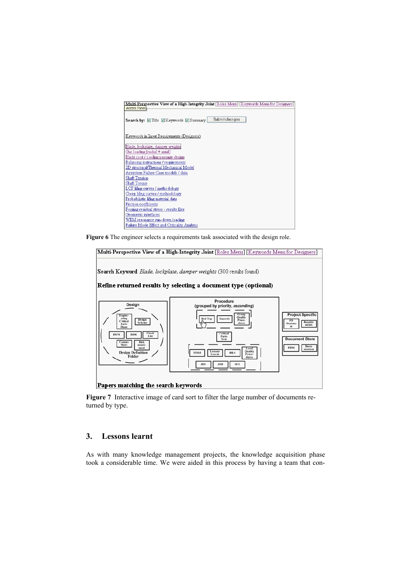<span id="page-8-0"></span>

**Figure 6** The engineer selects a requirements task associated with the design role.

<span id="page-8-1"></span>

**Figure 7** Interactive image of card sort to filter the large number of documents returned by type.

## **3. Lessons learnt**

As with many knowledge management projects, the knowledge acquisition phase took a considerable time. We were aided in this process by having a team that con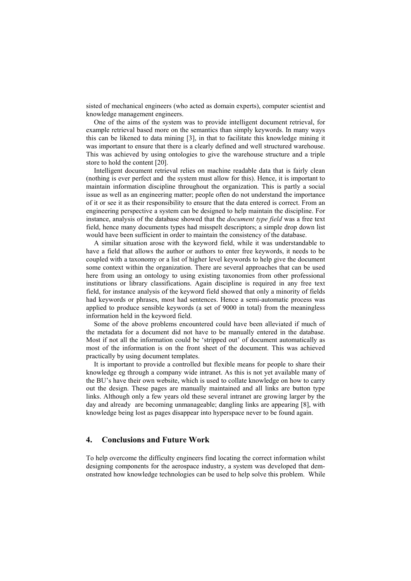sisted of mechanical engineers (who acted as domain experts), computer scientist and knowledge management engineers.

One of the aims of the system was to provide intelligent document retrieval, for example retrieval based more on the semantics than simply keywords. In many ways this can be likened to data mining [\[3\],](#page-10-2) in that to facilitate this knowledge mining it was important to ensure that there is a clearly defined and well structured warehouse. This was achieved by using ontologies to give the warehouse structure and a triple store to hold the content [\[20\].](#page-11-14)

Intelligent document retrieval relies on machine readable data that is fairly clean (nothing is ever perfect and the system must allow for this). Hence, it is important to maintain information discipline throughout the organization. This is partly a social issue as well as an engineering matter; people often do not understand the importance of it or see it as their responsibility to ensure that the data entered is correct. From an engineering perspective a system can be designed to help maintain the discipline. For instance, analysis of the database showed that the *document type field* was a free text field, hence many documents types had misspelt descriptors; a simple drop down list would have been sufficient in order to maintain the consistency of the database.

A similar situation arose with the keyword field, while it was understandable to have a field that allows the author or authors to enter free keywords, it needs to be coupled with a taxonomy or a list of higher level keywords to help give the document some context within the organization. There are several approaches that can be used here from using an ontology to using existing taxonomies from other professional institutions or library classifications. Again discipline is required in any free text field, for instance analysis of the keyword field showed that only a minority of fields had keywords or phrases, most had sentences. Hence a semi-automatic process was applied to produce sensible keywords (a set of 9000 in total) from the meaningless information held in the keyword field.

Some of the above problems encountered could have been alleviated if much of the metadata for a document did not have to be manually entered in the database. Most if not all the information could be 'stripped out' of document automatically as most of the information is on the front sheet of the document. This was achieved practically by using document templates.

It is important to provide a controlled but flexible means for people to share their knowledge eg through a company wide intranet. As this is not yet available many of the BU's have their own website, which is used to collate knowledge on how to carry out the design. These pages are manually maintained and all links are button type links. Although only a few years old these several intranet are growing larger by the day and already are becoming unmanageable; dangling links are appearing [\[8\],](#page-11-15) with knowledge being lost as pages disappear into hyperspace never to be found again.

### **4. Conclusions and Future Work**

To help overcome the difficulty engineers find locating the correct information whilst designing components for the aerospace industry, a system was developed that demonstrated how knowledge technologies can be used to help solve this problem. While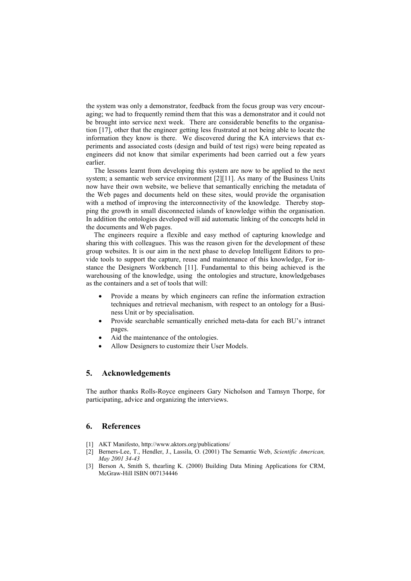the system was only a demonstrator, feedback from the focus group was very encouraging; we had to frequently remind them that this was a demonstrator and it could not be brought into service next week. There are considerable benefits to the organisation [\[17\],](#page-11-16) other that the engineer getting less frustrated at not being able to locate the information they know is there. We discovered during the KA interviews that experiments and associated costs (design and build of test rigs) were being repeated as engineers did not know that similar experiments had been carried out a few years earlier.

The lessons learnt from developing this system are now to be applied to the next system; a semantic web service environment [\[2\]](#page-10-1)[\[11\].](#page-11-17) As many of the Business Units now have their own website, we believe that semantically enriching the metadata of the Web pages and documents held on these sites, would provide the organisation with a method of improving the interconnectivity of the knowledge. Thereby stopping the growth in small disconnected islands of knowledge within the organisation. In addition the ontologies developed will aid automatic linking of the concepts held in the documents and Web pages.

The engineers require a flexible and easy method of capturing knowledge and sharing this with colleagues. This was the reason given for the development of these group websites. It is our aim in the next phase to develop Intelligent Editors to provide tools to support the capture, reuse and maintenance of this knowledge, For instance the Designers Workbench [\[11\].](#page-11-18) Fundamental to this being achieved is the warehousing of the knowledge, using the ontologies and structure, knowledgebases as the containers and a set of tools that will:

- Provide a means by which engineers can refine the information extraction techniques and retrieval mechanism, with respect to an ontology for a Business Unit or by specialisation.
- Provide searchable semantically enriched meta-data for each BU's intranet pages.
- Aid the maintenance of the ontologies.
- Allow Designers to customize their User Models.

### **5. Acknowledgements**

The author thanks Rolls-Royce engineers Gary Nicholson and Tamsyn Thorpe, for participating, advice and organizing the interviews.

### **6. References**

- <span id="page-10-0"></span>[1] AKT Manifesto, http://www.aktors.org/publications/
- <span id="page-10-1"></span>[2] Berners-Lee, T., Hendler, J., Lassila, O. (2001) The Semantic Web, *Scientific American, May 2001 34-43*
- <span id="page-10-2"></span>[3] Berson A, Smith S, thearling K. (2000) Building Data Mining Applications for CRM, McGraw-Hill ISBN 007134446